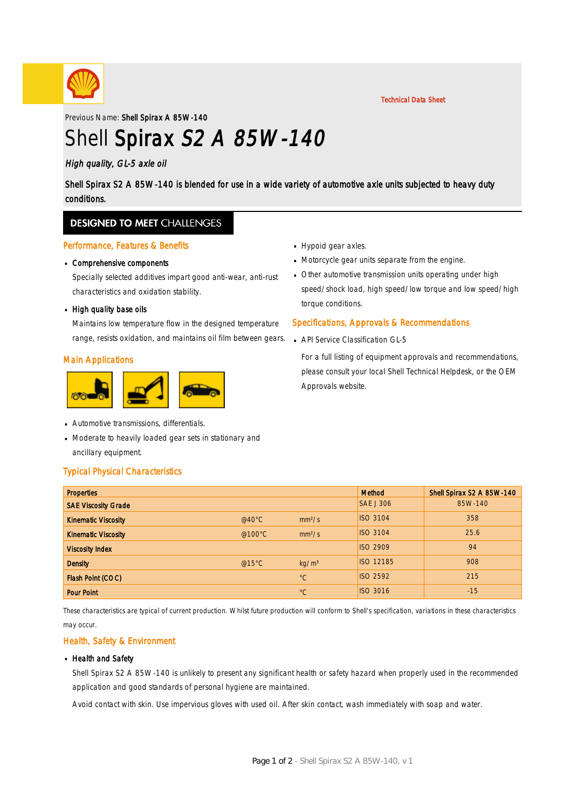

#### Technical Data Sheet

Previous Name: Shell Spirax A 85W-140

# Shell Spirax S2 A 85W-140

### High quality, GL-5 axle oil

Shell Spirax S2 A 85W-140 is blended for use in a wide variety of automotive axle units subjected to heavy duty conditions.

### **DESIGNED TO MEET CHALLENGES**

#### Performance, Features & Benefits

# Comprehensive components ·

Specially selected additives impart good anti-wear, anti-rust characteristics and oxidation stability.

# **High quality base oils**

Maintains low temperature flow in the designed temperature range, resists oxidation, and maintains oil film between gears.

#### Main Applications



- Automotive transmissions, differentials. ·
- Moderate to heavily loaded gear sets in stationary and · ancillary equipment.

#### Typical Physical Characteristics

- **Hypoid gear axles.**
- Motorcycle gear units separate from the engine.
- Other automotive transmission units operating under high · speed/shock load, high speed/low torque and low speed/high torque conditions.

#### Specifications, Approvals & Recommendations

**API Service Classification GL-5** 

For a full listing of equipment approvals and recommendations, please consult your local Shell Technical Helpdesk, or the OEM Approvals website.

| <b>Properties</b>          |                  |                    | <b>Method</b>    | Shell Spirax S2 A 85W-140 |
|----------------------------|------------------|--------------------|------------------|---------------------------|
| <b>SAE Viscosity Grade</b> |                  |                    | <b>SAE J 306</b> | 85W-140                   |
| <b>Kinematic Viscosity</b> | @40 $^{\circ}$ C | mm <sup>2</sup> /s | <b>ISO 3104</b>  | 358                       |
| <b>Kinematic Viscosity</b> | @100°C           | mm <sup>2</sup> /s | <b>ISO 3104</b>  | 25.6                      |
| <b>Viscosity Index</b>     |                  |                    | <b>ISO 2909</b>  | 94                        |
| <b>Density</b>             | @15°C            | kg/m <sup>3</sup>  | <b>ISO 12185</b> | 908                       |
| Flash Point (COC)          |                  | $^{\circ}C$        | <b>ISO 2592</b>  | 215                       |
| <b>Pour Point</b>          |                  | $^{\circ}C$        | <b>ISO 3016</b>  | $-15$                     |

These characteristics are typical of current production. Whilst future production will conform to Shell's specification, variations in these characteristics may occur.

#### Health, Safety & Environment

#### **Health and Safety**

Shell Spirax S2 A 85W-140 is unlikely to present any significant health or safety hazard when properly used in the recommended application and good standards of personal hygiene are maintained.

Avoid contact with skin. Use impervious gloves with used oil. After skin contact, wash immediately with soap and water.